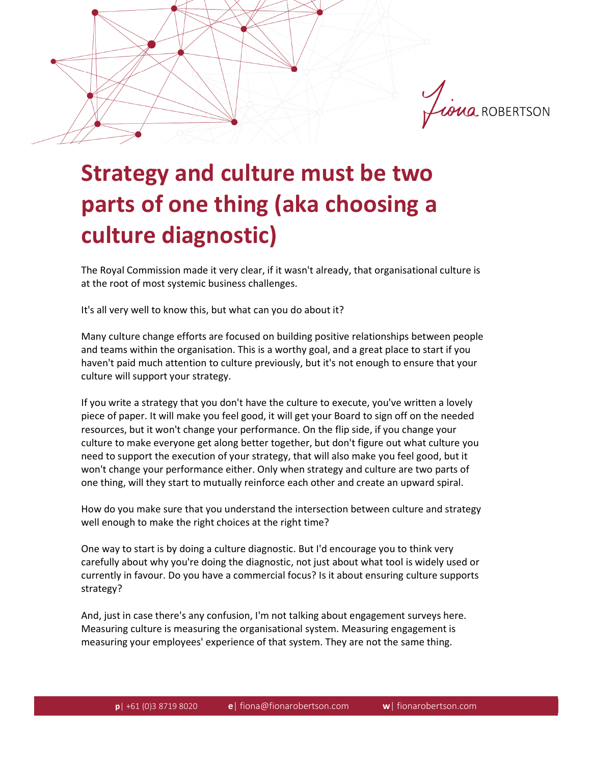

## **Strategy and culture must be two parts of one thing (aka choosing a culture diagnostic)**

The Royal Commission made it very clear, if it wasn't already, that organisational culture is at the root of most systemic business challenges.

It's all very well to know this, but what can you do about it?

Many culture change efforts are focused on building positive relationships between people and teams within the organisation. This is a worthy goal, and a great place to start if you haven't paid much attention to culture previously, but it's not enough to ensure that your culture will support your strategy.

If you write a strategy that you don't have the culture to execute, you've written a lovely piece of paper. It will make you feel good, it will get your Board to sign off on the needed resources, but it won't change your performance. On the flip side, if you change your culture to make everyone get along better together, but don't figure out what culture you need to support the execution of your strategy, that will also make you feel good, but it won't change your performance either. Only when strategy and culture are two parts of one thing, will they start to mutually reinforce each other and create an upward spiral.

How do you make sure that you understand the intersection between culture and strategy well enough to make the right choices at the right time?

One way to start is by doing a culture diagnostic. But I'd encourage you to think very carefully about why you're doing the diagnostic, not just about what tool is widely used or currently in favour. Do you have a commercial focus? Is it about ensuring culture supports strategy?

And, just in case there's any confusion, I'm not talking about engagement surveys here. Measuring culture is measuring the organisational system. Measuring engagement is measuring your employees' experience of that system. They are not the same thing.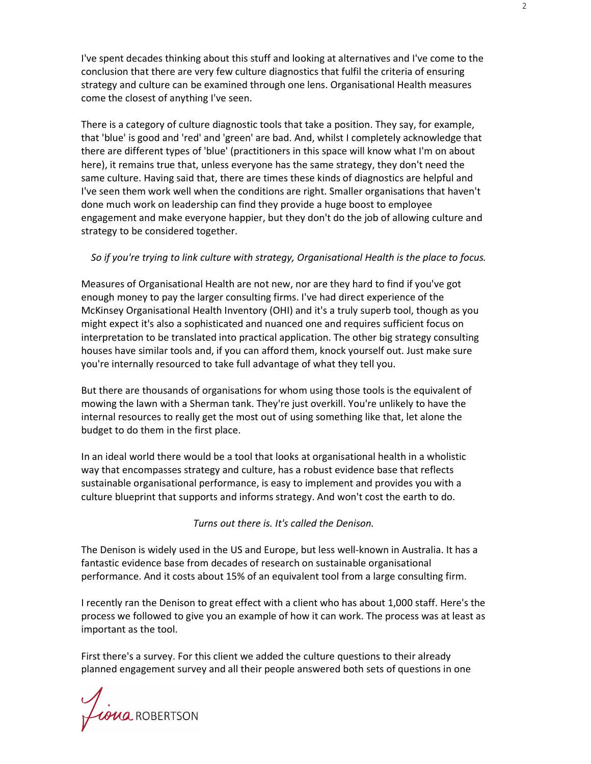I've spent decades thinking about this stuff and looking at alternatives and I've come to the conclusion that there are very few culture diagnostics that fulfil the criteria of ensuring strategy and culture can be examined through one lens. Organisational Health measures come the closest of anything I've seen.

There is a category of culture diagnostic tools that take a position. They say, for example, that 'blue' is good and 'red' and 'green' are bad. And, whilst I completely acknowledge that there are different types of 'blue' (practitioners in this space will know what I'm on about here), it remains true that, unless everyone has the same strategy, they don't need the same culture. Having said that, there are times these kinds of diagnostics are helpful and I've seen them work well when the conditions are right. Smaller organisations that haven't done much work on leadership can find they provide a huge boost to employee engagement and make everyone happier, but they don't do the job of allowing culture and strategy to be considered together.

## *So if you're trying to link culture with strategy, Organisational Health is the place to focus.*

Measures of Organisational Health are not new, nor are they hard to find if you've got enough money to pay the larger consulting firms. I've had direct experience of the McKinsey Organisational Health Inventory (OHI) and it's a truly superb tool, though as you might expect it's also a sophisticated and nuanced one and requires sufficient focus on interpretation to be translated into practical application. The other big strategy consulting houses have similar tools and, if you can afford them, knock yourself out. Just make sure you're internally resourced to take full advantage of what they tell you.

But there are thousands of organisations for whom using those tools is the equivalent of mowing the lawn with a Sherman tank. They're just overkill. You're unlikely to have the internal resources to really get the most out of using something like that, let alone the budget to do them in the first place.

In an ideal world there would be a tool that looks at organisational health in a wholistic way that encompasses strategy and culture, has a robust evidence base that reflects sustainable organisational performance, is easy to implement and provides you with a culture blueprint that supports and informs strategy. And won't cost the earth to do.

*Turns out there is. It's called the Denison.* 

The Denison is widely used in the US and Europe, but less well-known in Australia. It has a fantastic evidence base from decades of research on sustainable organisational performance. And it costs about 15% of an equivalent tool from a large consulting firm.

I recently ran the Denison to great effect with a client who has about 1,000 staff. Here's the process we followed to give you an example of how it can work. The process was at least as important as the tool.

First there's a survey. For this client we added the culture questions to their already planned engagement survey and all their people answered both sets of questions in one

Liona ROBERTSON